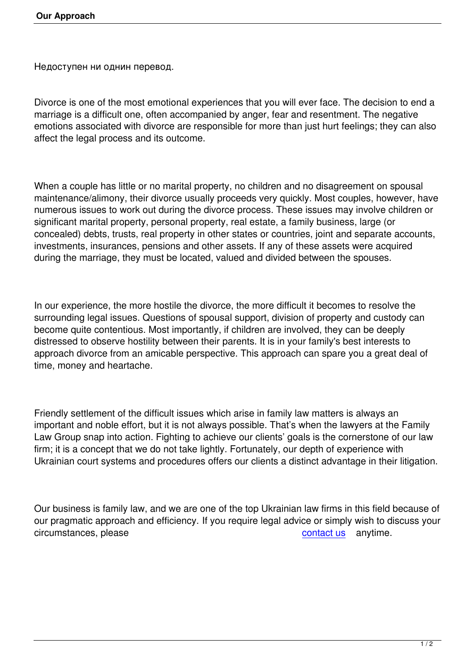Недоступен ни однин перевод.

Divorce is one of the most emotional experiences that you will ever face. The decision to end a marriage is a difficult one, often accompanied by anger, fear and resentment. The negative emotions associated with divorce are responsible for more than just hurt feelings; they can also affect the legal process and its outcome.

When a couple has little or no marital property, no children and no disagreement on spousal maintenance/alimony, their divorce usually proceeds very quickly. Most couples, however, have numerous issues to work out during the divorce process. These issues may involve children or significant marital property, personal property, real estate, a family business, large (or concealed) debts, trusts, real property in other states or countries, joint and separate accounts, investments, insurances, pensions and other assets. If any of these assets were acquired during the marriage, they must be located, valued and divided between the spouses.

In our experience, the more hostile the divorce, the more difficult it becomes to resolve the surrounding legal issues. Questions of spousal support, division of property and custody can become quite contentious. Most importantly, if children are involved, they can be deeply distressed to observe hostility between their parents. It is in your family's best interests to approach divorce from an amicable perspective. This approach can spare you a great deal of time, money and heartache.

Friendly settlement of the difficult issues which arise in family law matters is always an important and noble effort, but it is not always possible. That's when the lawyers at the Family Law Group snap into action. Fighting to achieve our clients' goals is the cornerstone of our law firm; it is a concept that we do not take lightly. Fortunately, our depth of experience with Ukrainian court systems and procedures offers our clients a distinct advantage in their litigation.

Our business is family law, and we are one of the top Ukrainian law firms in this field because of our pragmatic approach and efficiency. If you require legal advice or simply wish to discuss your circumstances, please contact us anytime.